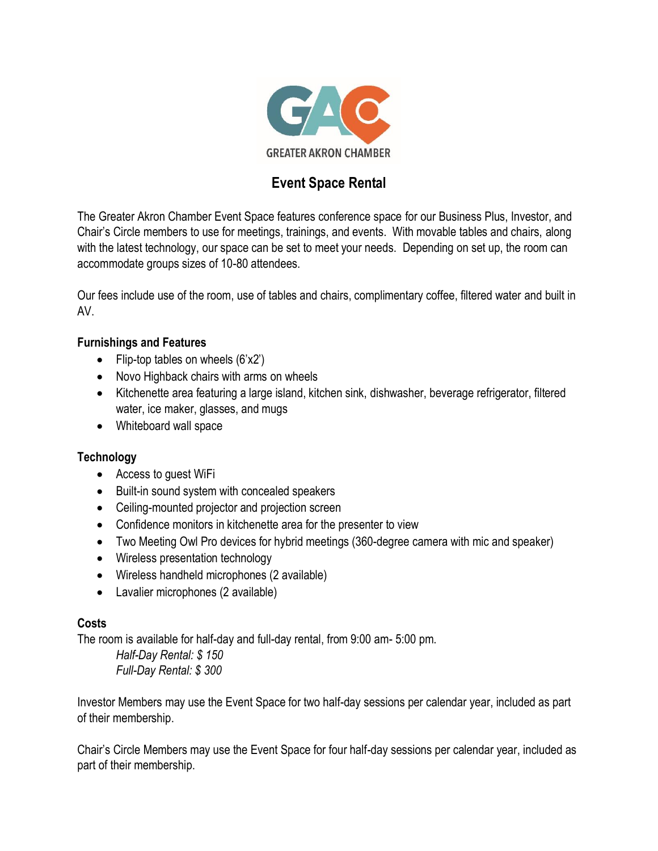

# **Event Space Rental**

The Greater Akron Chamber Event Space features conference space for our Business Plus, Investor, and Chair's Circle members to use for meetings, trainings, and events. With movable tables and chairs, along with the latest technology, our space can be set to meet your needs. Depending on set up, the room can accommodate groups sizes of 10-80 attendees.

Our fees include use of the room, use of tables and chairs, complimentary coffee, filtered water and built in AV.

## **Furnishings and Features**

- Flip-top tables on wheels  $(6'x2')$
- Novo Highback chairs with arms on wheels
- Kitchenette area featuring a large island, kitchen sink, dishwasher, beverage refrigerator, filtered water, ice maker, glasses, and mugs
- Whiteboard wall space

### **Technology**

- Access to guest WiFi
- Built-in sound system with concealed speakers
- Ceiling-mounted projector and projection screen
- Confidence monitors in kitchenette area for the presenter to view
- Two Meeting Owl Pro devices for hybrid meetings (360-degree camera with mic and speaker)
- Wireless presentation technology
- Wireless handheld microphones (2 available)
- Lavalier microphones (2 available)

### **Costs**

The room is available for half-day and full-day rental, from 9:00 am- 5:00 pm.

*Half-Day Rental: \$ 150 Full-Day Rental: \$ 300*

Investor Members may use the Event Space for two half-day sessions per calendar year, included as part of their membership.

Chair's Circle Members may use the Event Space for four half-day sessions per calendar year, included as part of their membership.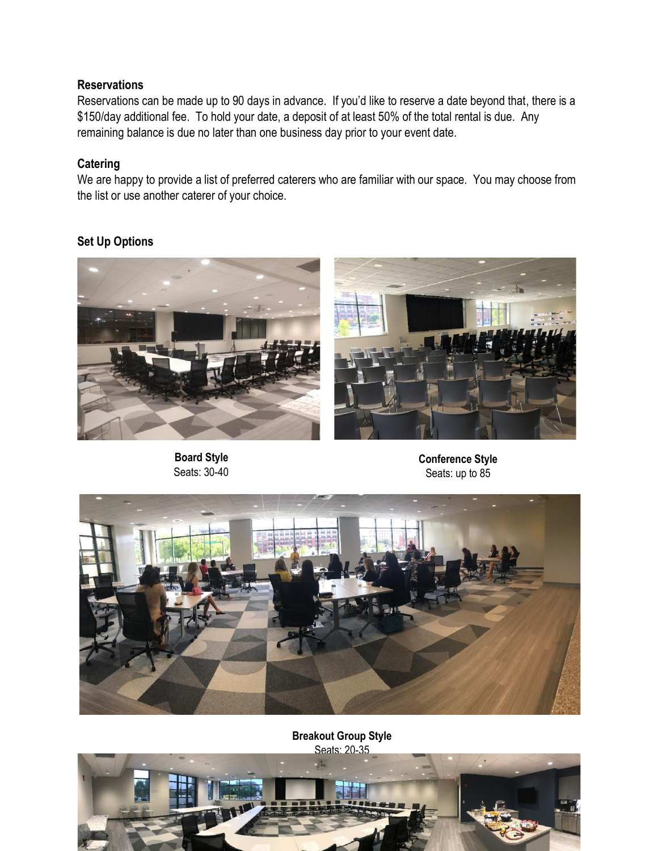### **Reservations**

Reservations can be made up to 90 days in advance. If you'd like to reserve a date beyond that, there is a \$150/day additional fee. To hold your date, a deposit of at least 50% of the total rental is due. Any remaining balance is due no later than one business day prior to your event date.

## **Catering**

We are happy to provide a list of preferred caterers who are familiar with our space. You may choose from the list or use another caterer of your choice.

## **Set Up Options**



**Board Style** Seats: 30-40



**Conference Style** Seats: up to 85



**Breakout Group Style** Seats: 20-35